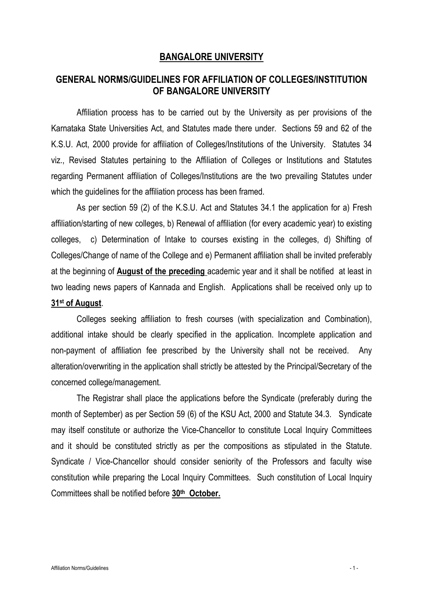## BANGALORE UNIVERSITY

# GENERAL NORMS/GUIDELINES FOR AFFILIATION OF COLLEGES/INSTITUTION OF BANGALORE UNIVERSITY

Affiliation process has to be carried out by the University as per provisions of the Karnataka State Universities Act, and Statutes made there under. Sections 59 and 62 of the K.S.U. Act, 2000 provide for affiliation of Colleges/Institutions of the University. Statutes 34 viz., Revised Statutes pertaining to the Affiliation of Colleges or Institutions and Statutes regarding Permanent affiliation of Colleges/Institutions are the two prevailing Statutes under which the guidelines for the affiliation process has been framed.

As per section 59 (2) of the K.S.U. Act and Statutes 34.1 the application for a) Fresh affiliation/starting of new colleges, b) Renewal of affiliation (for every academic year) to existing colleges, c) Determination of Intake to courses existing in the colleges, d) Shifting of Colleges/Change of name of the College and e) Permanent affiliation shall be invited preferably at the beginning of August of the preceding academic year and it shall be notified at least in two leading news papers of Kannada and English. Applications shall be received only up to 31st of August.

Colleges seeking affiliation to fresh courses (with specialization and Combination), additional intake should be clearly specified in the application. Incomplete application and non-payment of affiliation fee prescribed by the University shall not be received. Any alteration/overwriting in the application shall strictly be attested by the Principal/Secretary of the concerned college/management.

The Registrar shall place the applications before the Syndicate (preferably during the month of September) as per Section 59 (6) of the KSU Act, 2000 and Statute 34.3. Syndicate may itself constitute or authorize the Vice-Chancellor to constitute Local Inquiry Committees and it should be constituted strictly as per the compositions as stipulated in the Statute. Syndicate / Vice-Chancellor should consider seniority of the Professors and faculty wise constitution while preparing the Local Inquiry Committees. Such constitution of Local Inquiry Committees shall be notified before 30th October.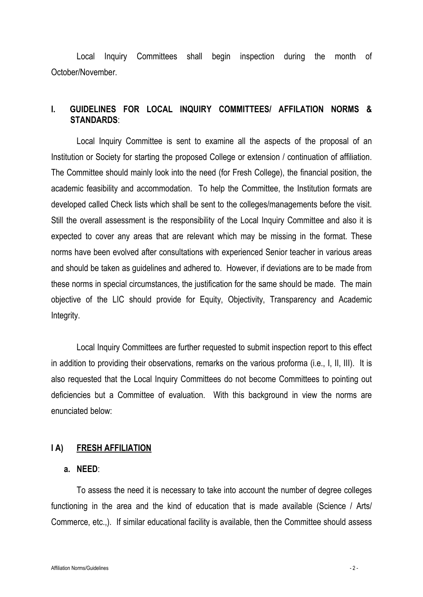Local Inquiry Committees shall begin inspection during the month of October/November.

### I. GUIDELINES FOR LOCAL INQUIRY COMMITTEES/ AFFILATION NORMS & STANDARDS:

Local Inquiry Committee is sent to examine all the aspects of the proposal of an Institution or Society for starting the proposed College or extension / continuation of affiliation. The Committee should mainly look into the need (for Fresh College), the financial position, the academic feasibility and accommodation. To help the Committee, the Institution formats are developed called Check lists which shall be sent to the colleges/managements before the visit. Still the overall assessment is the responsibility of the Local Inquiry Committee and also it is expected to cover any areas that are relevant which may be missing in the format. These norms have been evolved after consultations with experienced Senior teacher in various areas and should be taken as guidelines and adhered to. However, if deviations are to be made from these norms in special circumstances, the justification for the same should be made. The main objective of the LIC should provide for Equity, Objectivity, Transparency and Academic Integrity.

Local Inquiry Committees are further requested to submit inspection report to this effect in addition to providing their observations, remarks on the various proforma (i.e., I, II, III). It is also requested that the Local Inquiry Committees do not become Committees to pointing out deficiencies but a Committee of evaluation. With this background in view the norms are enunciated below:

#### I A) FRESH AFFILIATION

#### a. NEED:

To assess the need it is necessary to take into account the number of degree colleges functioning in the area and the kind of education that is made available (Science / Arts/ Commerce, etc.,). If similar educational facility is available, then the Committee should assess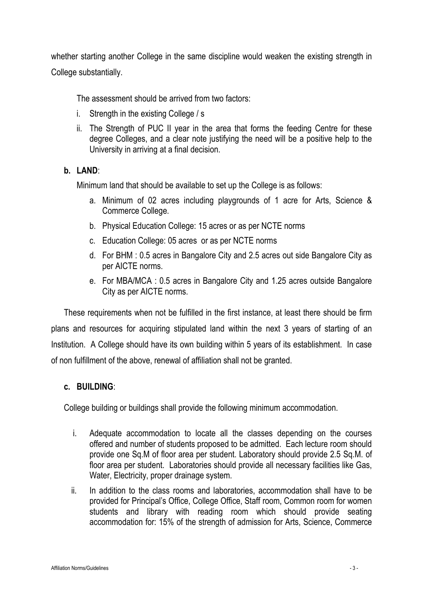whether starting another College in the same discipline would weaken the existing strength in College substantially.

The assessment should be arrived from two factors:

- i. Strength in the existing College / s
- ii. The Strength of PUC II year in the area that forms the feeding Centre for these degree Colleges, and a clear note justifying the need will be a positive help to the University in arriving at a final decision.

# b. LAND:

Minimum land that should be available to set up the College is as follows:

- a. Minimum of 02 acres including playgrounds of 1 acre for Arts, Science & Commerce College.
- b. Physical Education College: 15 acres or as per NCTE norms
- c. Education College: 05 acres or as per NCTE norms
- d. For BHM : 0.5 acres in Bangalore City and 2.5 acres out side Bangalore City as per AICTE norms.
- e. For MBA/MCA : 0.5 acres in Bangalore City and 1.25 acres outside Bangalore City as per AICTE norms.

These requirements when not be fulfilled in the first instance, at least there should be firm plans and resources for acquiring stipulated land within the next 3 years of starting of an Institution. A College should have its own building within 5 years of its establishment. In case of non fulfillment of the above, renewal of affiliation shall not be granted.

#### c. BUILDING:

College building or buildings shall provide the following minimum accommodation.

- i. Adequate accommodation to locate all the classes depending on the courses offered and number of students proposed to be admitted. Each lecture room should provide one Sq.M of floor area per student. Laboratory should provide 2.5 Sq.M. of floor area per student. Laboratories should provide all necessary facilities like Gas, Water, Electricity, proper drainage system.
- ii. In addition to the class rooms and laboratories, accommodation shall have to be provided for Principal's Office, College Office, Staff room, Common room for women students and library with reading room which should provide seating accommodation for: 15% of the strength of admission for Arts, Science, Commerce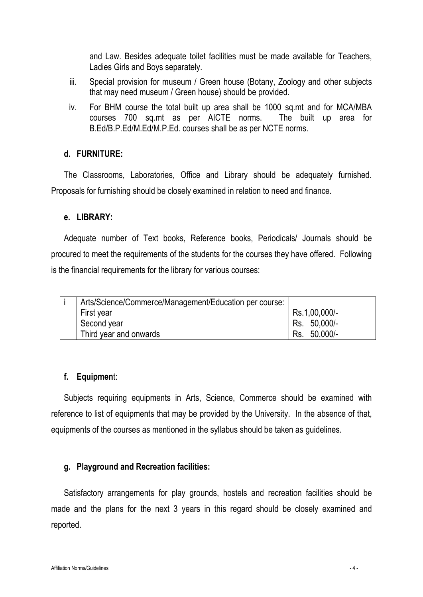and Law. Besides adequate toilet facilities must be made available for Teachers, Ladies Girls and Boys separately.

- iii. Special provision for museum / Green house (Botany, Zoology and other subjects that may need museum / Green house) should be provided.
- iv. For BHM course the total built up area shall be 1000 sq.mt and for MCA/MBA courses 700 sq.mt as per AICTE norms. The built up area for B.Ed/B.P.Ed/M.Ed/M.P.Ed. courses shall be as per NCTE norms.

#### d. FURNITURE:

The Classrooms, Laboratories, Office and Library should be adequately furnished. Proposals for furnishing should be closely examined in relation to need and finance.

#### e. LIBRARY:

Adequate number of Text books, Reference books, Periodicals/ Journals should be procured to meet the requirements of the students for the courses they have offered. Following is the financial requirements for the library for various courses:

| Arts/Science/Commerce/Management/Education per course: |               |
|--------------------------------------------------------|---------------|
| First year                                             | Rs.1,00,000/- |
| Second year                                            | Rs. 50,000/-  |
| Third year and onwards                                 | Rs. 50,000/-  |

#### f. Equipment:

Subjects requiring equipments in Arts, Science, Commerce should be examined with reference to list of equipments that may be provided by the University. In the absence of that, equipments of the courses as mentioned in the syllabus should be taken as guidelines.

#### g. Playground and Recreation facilities:

Satisfactory arrangements for play grounds, hostels and recreation facilities should be made and the plans for the next 3 years in this regard should be closely examined and reported.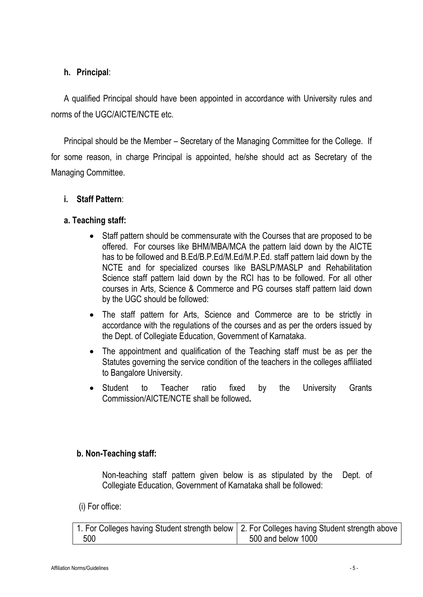# h. Principal:

A qualified Principal should have been appointed in accordance with University rules and norms of the UGC/AICTE/NCTE etc.

Principal should be the Member – Secretary of the Managing Committee for the College. If for some reason, in charge Principal is appointed, he/she should act as Secretary of the Managing Committee.

i. Staff Pattern:

# a. Teaching staff:

- Staff pattern should be commensurate with the Courses that are proposed to be offered. For courses like BHM/MBA/MCA the pattern laid down by the AICTE has to be followed and B.Ed/B.P.Ed/M.Ed/M.P.Ed. staff pattern laid down by the NCTE and for specialized courses like BASLP/MASLP and Rehabilitation Science staff pattern laid down by the RCI has to be followed. For all other courses in Arts, Science & Commerce and PG courses staff pattern laid down by the UGC should be followed:
- The staff pattern for Arts, Science and Commerce are to be strictly in accordance with the regulations of the courses and as per the orders issued by the Dept. of Collegiate Education, Government of Karnataka.
- The appointment and qualification of the Teaching staff must be as per the Statutes governing the service condition of the teachers in the colleges affiliated to Bangalore University.
- Student to Teacher ratio fixed by the University Grants Commission/AICTE/NCTE shall be followed.

# b. Non-Teaching staff:

Non-teaching staff pattern given below is as stipulated by the Dept. of Collegiate Education, Government of Karnataka shall be followed:

(i) For office:

|     | 1. For Colleges having Student strength below   2. For Colleges having Student strength above |
|-----|-----------------------------------------------------------------------------------------------|
| 500 | 500 and below 1000                                                                            |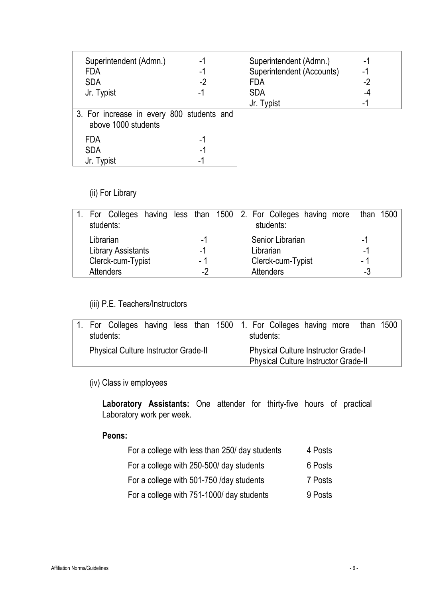| Superintendent (Admn.)<br><b>FDA</b>                             | -1<br>-1 | Superintendent (Admn.)<br>Superintendent (Accounts) | -1<br>-1 |
|------------------------------------------------------------------|----------|-----------------------------------------------------|----------|
| <b>SDA</b>                                                       | -2       | <b>FDA</b>                                          | -2       |
| Jr. Typist                                                       | -1       | <b>SDA</b>                                          | -4       |
|                                                                  |          | Jr. Typist                                          | -1       |
| 3. For increase in every 800 students and<br>above 1000 students |          |                                                     |          |
| <b>FDA</b>                                                       | -1       |                                                     |          |
| <b>SDA</b>                                                       | $-1$     |                                                     |          |
| Jr. Typist                                                       | -        |                                                     |          |

(ii) For Library

|                           |      | For Colleges having less than 1500 2. For Colleges having more<br>than 1500 |
|---------------------------|------|-----------------------------------------------------------------------------|
| students:                 |      | students:                                                                   |
| Librarian                 | -1   | Senior Librarian<br>-1                                                      |
| <b>Library Assistants</b> | -1   | Librarian<br>-1                                                             |
| Clerck-cum-Typist         | - 1  | Clerck-cum-Typist<br>- 1                                                    |
| <b>Attenders</b>          | $-2$ | <b>Attenders</b><br>-3                                                      |

(iii) P.E. Teachers/Instructors

| students:                                   |  |  |  |                                                                                           | 1. For Colleges having less than 1500 1. For Colleges having more<br>than $1500$<br>students: |  |
|---------------------------------------------|--|--|--|-------------------------------------------------------------------------------------------|-----------------------------------------------------------------------------------------------|--|
| <b>Physical Culture Instructor Grade-II</b> |  |  |  | <b>Physical Culture Instructor Grade-I</b><br><b>Physical Culture Instructor Grade-II</b> |                                                                                               |  |

(iv) Class iv employees

Laboratory Assistants: One attender for thirty-five hours of practical Laboratory work per week.

# Peons:

| For a college with less than 250/ day students | 4 Posts |
|------------------------------------------------|---------|
| For a college with 250-500/ day students       | 6 Posts |
| For a college with 501-750 /day students       | 7 Posts |
| For a college with 751-1000/ day students      | 9 Posts |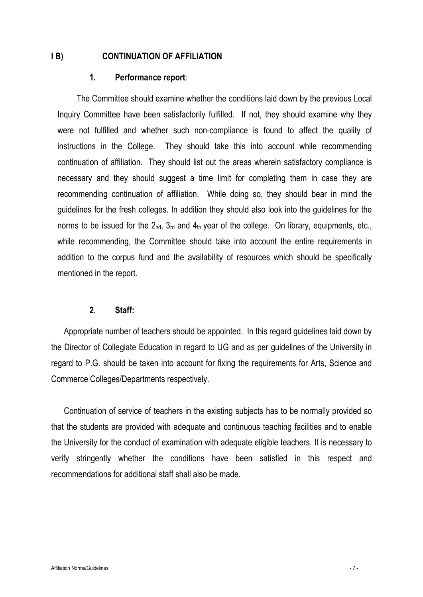#### I B) CONTINUATION OF AFFILIATION

#### 1. Performance report:

The Committee should examine whether the conditions laid down by the previous Local Inquiry Committee have been satisfactorily fulfilled. If not, they should examine why they were not fulfilled and whether such non-compliance is found to affect the quality of instructions in the College. They should take this into account while recommending continuation of affiliation. They should list out the areas wherein satisfactory compliance is necessary and they should suggest a time limit for completing them in case they are recommending continuation of affiliation. While doing so, they should bear in mind the guidelines for the fresh colleges. In addition they should also look into the guidelines for the norms to be issued for the  $2_{nd}$ ,  $3_{rd}$  and  $4_{th}$  year of the college. On library, equipments, etc., while recommending, the Committee should take into account the entire requirements in addition to the corpus fund and the availability of resources which should be specifically mentioned in the report.

#### 2. Staff:

Appropriate number of teachers should be appointed. In this regard guidelines laid down by the Director of Collegiate Education in regard to UG and as per guidelines of the University in regard to P.G. should be taken into account for fixing the requirements for Arts, Science and Commerce Colleges/Departments respectively.

Continuation of service of teachers in the existing subjects has to be normally provided so that the students are provided with adequate and continuous teaching facilities and to enable the University for the conduct of examination with adequate eligible teachers. It is necessary to verify stringently whether the conditions have been satisfied in this respect and recommendations for additional staff shall also be made.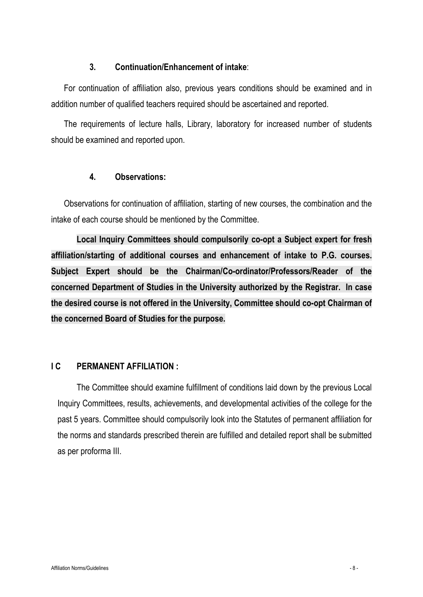## 3. Continuation/Enhancement of intake:

For continuation of affiliation also, previous years conditions should be examined and in addition number of qualified teachers required should be ascertained and reported.

The requirements of lecture halls, Library, laboratory for increased number of students should be examined and reported upon.

#### 4. Observations:

Observations for continuation of affiliation, starting of new courses, the combination and the intake of each course should be mentioned by the Committee.

Local Inquiry Committees should compulsorily co-opt a Subject expert for fresh affiliation/starting of additional courses and enhancement of intake to P.G. courses. Subject Expert should be the Chairman/Co-ordinator/Professors/Reader of the concerned Department of Studies in the University authorized by the Registrar. In case the desired course is not offered in the University, Committee should co-opt Chairman of the concerned Board of Studies for the purpose.

# I C PERMANENT AFFILIATION :

The Committee should examine fulfillment of conditions laid down by the previous Local Inquiry Committees, results, achievements, and developmental activities of the college for the past 5 years. Committee should compulsorily look into the Statutes of permanent affiliation for the norms and standards prescribed therein are fulfilled and detailed report shall be submitted as per proforma III.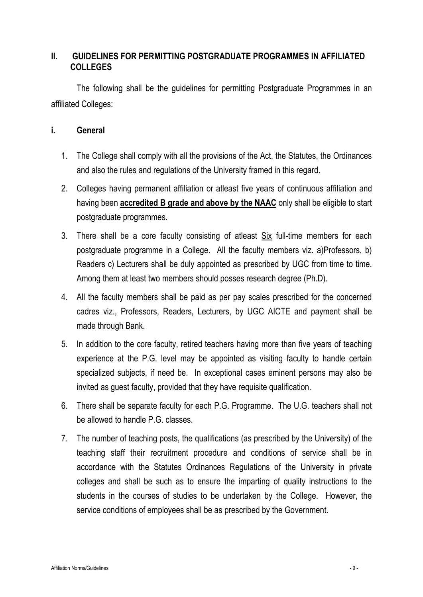# II. GUIDELINES FOR PERMITTING POSTGRADUATE PROGRAMMES IN AFFILIATED COLLEGES

The following shall be the guidelines for permitting Postgraduate Programmes in an affiliated Colleges:

## i. General

- 1. The College shall comply with all the provisions of the Act, the Statutes, the Ordinances and also the rules and regulations of the University framed in this regard.
- 2. Colleges having permanent affiliation or atleast five years of continuous affiliation and having been **accredited B grade and above by the NAAC** only shall be eligible to start postgraduate programmes.
- 3. There shall be a core faculty consisting of atleast Six full-time members for each postgraduate programme in a College. All the faculty members viz. a)Professors, b) Readers c) Lecturers shall be duly appointed as prescribed by UGC from time to time. Among them at least two members should posses research degree (Ph.D).
- 4. All the faculty members shall be paid as per pay scales prescribed for the concerned cadres viz., Professors, Readers, Lecturers, by UGC AICTE and payment shall be made through Bank.
- 5. In addition to the core faculty, retired teachers having more than five years of teaching experience at the P.G. level may be appointed as visiting faculty to handle certain specialized subjects, if need be. In exceptional cases eminent persons may also be invited as guest faculty, provided that they have requisite qualification.
- 6. There shall be separate faculty for each P.G. Programme. The U.G. teachers shall not be allowed to handle P.G. classes.
- 7. The number of teaching posts, the qualifications (as prescribed by the University) of the teaching staff their recruitment procedure and conditions of service shall be in accordance with the Statutes Ordinances Regulations of the University in private colleges and shall be such as to ensure the imparting of quality instructions to the students in the courses of studies to be undertaken by the College. However, the service conditions of employees shall be as prescribed by the Government.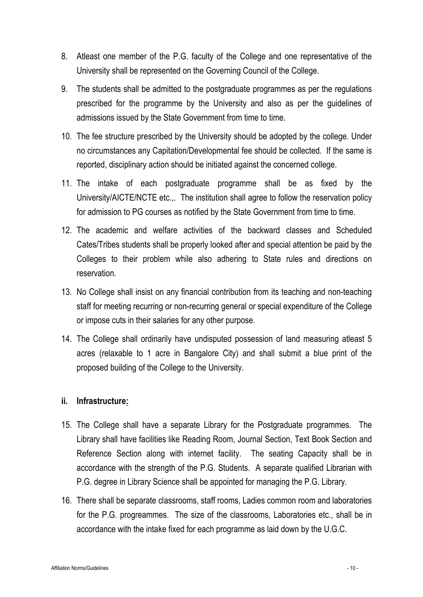- 8. Atleast one member of the P.G. faculty of the College and one representative of the University shall be represented on the Governing Council of the College.
- 9. The students shall be admitted to the postgraduate programmes as per the regulations prescribed for the programme by the University and also as per the guidelines of admissions issued by the State Government from time to time.
- 10. The fee structure prescribed by the University should be adopted by the college. Under no circumstances any Capitation/Developmental fee should be collected. If the same is reported, disciplinary action should be initiated against the concerned college.
- 11. The intake of each postgraduate programme shall be as fixed by the University/AICTE/NCTE etc.,. The institution shall agree to follow the reservation policy for admission to PG courses as notified by the State Government from time to time.
- 12. The academic and welfare activities of the backward classes and Scheduled Cates/Tribes students shall be properly looked after and special attention be paid by the Colleges to their problem while also adhering to State rules and directions on reservation.
- 13. No College shall insist on any financial contribution from its teaching and non-teaching staff for meeting recurring or non-recurring general or special expenditure of the College or impose cuts in their salaries for any other purpose.
- 14. The College shall ordinarily have undisputed possession of land measuring atleast 5 acres (relaxable to 1 acre in Bangalore City) and shall submit a blue print of the proposed building of the College to the University.

# ii. Infrastructure:

- 15. The College shall have a separate Library for the Postgraduate programmes. The Library shall have facilities like Reading Room, Journal Section, Text Book Section and Reference Section along with internet facility. The seating Capacity shall be in accordance with the strength of the P.G. Students. A separate qualified Librarian with P.G. degree in Library Science shall be appointed for managing the P.G. Library.
- 16. There shall be separate classrooms, staff rooms, Ladies common room and laboratories for the P.G. progreammes. The size of the classrooms, Laboratories etc., shall be in accordance with the intake fixed for each programme as laid down by the U.G.C.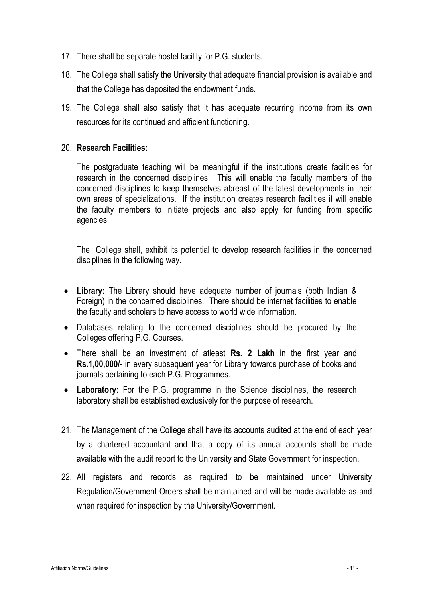- 17. There shall be separate hostel facility for P.G. students.
- 18. The College shall satisfy the University that adequate financial provision is available and that the College has deposited the endowment funds.
- 19. The College shall also satisfy that it has adequate recurring income from its own resources for its continued and efficient functioning.

## 20. Research Facilities:

The postgraduate teaching will be meaningful if the institutions create facilities for research in the concerned disciplines. This will enable the faculty members of the concerned disciplines to keep themselves abreast of the latest developments in their own areas of specializations. If the institution creates research facilities it will enable the faculty members to initiate projects and also apply for funding from specific agencies.

The College shall, exhibit its potential to develop research facilities in the concerned disciplines in the following way.

- Library: The Library should have adequate number of journals (both Indian & Foreign) in the concerned disciplines. There should be internet facilities to enable the faculty and scholars to have access to world wide information.
- Databases relating to the concerned disciplines should be procured by the Colleges offering P.G. Courses.
- There shall be an investment of atleast Rs. 2 Lakh in the first year and Rs.1,00,000/- in every subsequent year for Library towards purchase of books and journals pertaining to each P.G. Programmes.
- Laboratory: For the P.G. programme in the Science disciplines, the research laboratory shall be established exclusively for the purpose of research.
- 21. The Management of the College shall have its accounts audited at the end of each year by a chartered accountant and that a copy of its annual accounts shall be made available with the audit report to the University and State Government for inspection.
- 22. All registers and records as required to be maintained under University Regulation/Government Orders shall be maintained and will be made available as and when required for inspection by the University/Government.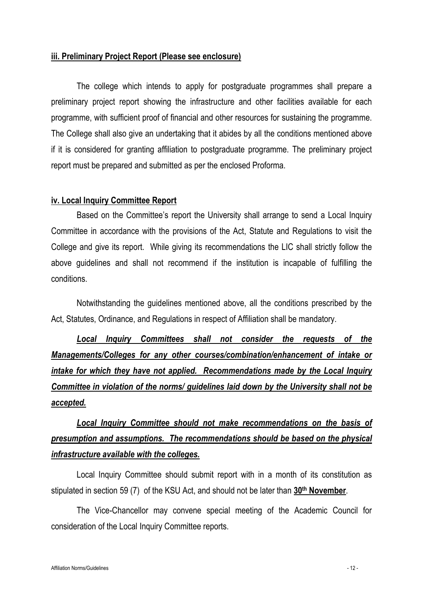#### iii. Preliminary Project Report (Please see enclosure)

The college which intends to apply for postgraduate programmes shall prepare a preliminary project report showing the infrastructure and other facilities available for each programme, with sufficient proof of financial and other resources for sustaining the programme. The College shall also give an undertaking that it abides by all the conditions mentioned above if it is considered for granting affiliation to postgraduate programme. The preliminary project report must be prepared and submitted as per the enclosed Proforma.

#### iv. Local Inquiry Committee Report

Based on the Committee's report the University shall arrange to send a Local Inquiry Committee in accordance with the provisions of the Act, Statute and Regulations to visit the College and give its report. While giving its recommendations the LIC shall strictly follow the above guidelines and shall not recommend if the institution is incapable of fulfilling the conditions.

Notwithstanding the guidelines mentioned above, all the conditions prescribed by the Act, Statutes, Ordinance, and Regulations in respect of Affiliation shall be mandatory.

*Local Inquiry Committees shall not consider the requests of the Managements/Colleges for any other courses/combination/enhancement of intake or intake for which they have not applied. Recommendations made by the Local Inquiry Committee in violation of the norms/ guidelines laid down by the University shall not be accepted.*

# *Local Inquiry Committee should not make recommendations on the basis of presumption and assumptions. The recommendations should be based on the physical infrastructure available with the colleges.*

Local Inquiry Committee should submit report with in a month of its constitution as stipulated in section 59 (7) of the KSU Act, and should not be later than 30<sup>th</sup> November.

The Vice-Chancellor may convene special meeting of the Academic Council for consideration of the Local Inquiry Committee reports.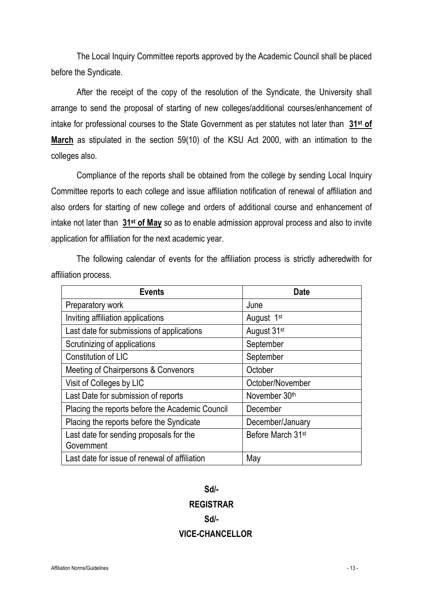The Local Inquiry Committee reports approved by the Academic Council shall be placed before the Syndicate.

After the receipt of the copy of the resolution of the Syndicate, the University shall arrange to send the proposal of starting of new colleges/additional courses/enhancement of intake for professional courses to the State Government as per statutes not later than 31<sup>st</sup> of March as stipulated in the section 59(10) of the KSU Act 2000, with an intimation to the colleges also.

Compliance of the reports shall be obtained from the college by sending Local Inquiry Committee reports to each college and issue affiliation notification of renewal of affiliation and also orders for starting of new college and orders of additional course and enhancement of intake not later than 31<sup>st</sup> of May so as to enable admission approval process and also to invite application for affiliation for the next academic year.

The following calendar of events for the affiliation process is strictly adheredwith for affiliation process.

| <b>Events</b>                                   | Date                          |
|-------------------------------------------------|-------------------------------|
| Preparatory work                                | June                          |
| Inviting affiliation applications               | August 1 <sup>st</sup>        |
| Last date for submissions of applications       | August 31 <sup>st</sup>       |
| Scrutinizing of applications                    | September                     |
| Constitution of LIC                             | September                     |
| Meeting of Chairpersons & Convenors             | October                       |
| Visit of Colleges by LIC                        | October/November              |
| Last Date for submission of reports             | November 30th                 |
| Placing the reports before the Academic Council | December                      |
| Placing the reports before the Syndicate        | December/January              |
| Last date for sending proposals for the         | Before March 31 <sup>st</sup> |
| Government                                      |                               |
| Last date for issue of renewal of affiliation   | May                           |

# Sd/- REGISTRAR Sd/- VICE-CHANCELLOR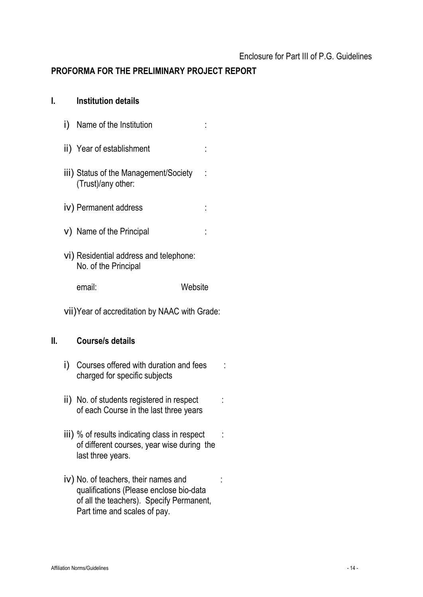# PROFORMA FOR THE PRELIMINARY PROJECT REPORT

| I. | <b>Institution details</b> |  |
|----|----------------------------|--|
|----|----------------------------|--|

| Name of the Institution<br>İ)                                  |  |
|----------------------------------------------------------------|--|
| ii) Year of establishment                                      |  |
| iii) Status of the Management/Society<br>(Trust)/any other:    |  |
| iv) Permanent address                                          |  |
| v) Name of the Principal                                       |  |
| vi) Residential address and telephone:<br>No. of the Principal |  |
| email:<br>Website                                              |  |

vii)Year of accreditation by NAAC with Grade:

# II. Course/s details

- i) Courses offered with duration and fees : charged for specific subjects
- ii) No. of students registered in respect : of each Course in the last three years
- iii) % of results indicating class in respect : of different courses, year wise during the last three years.
- iv) No. of teachers, their names and : qualifications (Please enclose bio-data of all the teachers). Specify Permanent, Part time and scales of pay.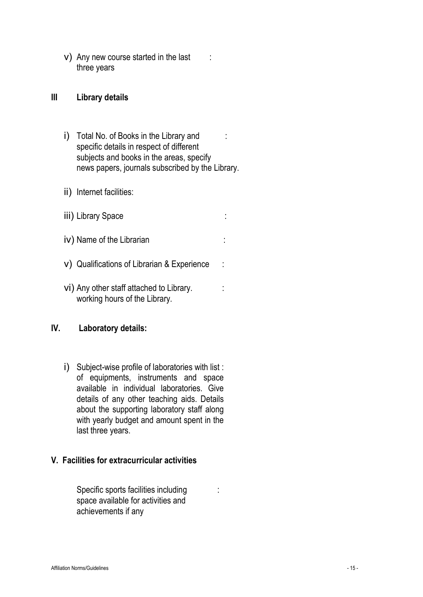v) Any new course started in the last : three years

#### III Library details

- i) Total No. of Books in the Library and : specific details in respect of different subjects and books in the areas, specify news papers, journals subscribed by the Library.
- ii) Internet facilities:
- iii) Library Space :
- iv) Name of the Librarian
- v) Qualifications of Librarian & Experience :
- vi) Any other staff attached to Library. working hours of the Library.

### IV. Laboratory details:

i) Subject-wise profile of laboratories with list : of equipments, instruments and space available in individual laboratories. Give details of any other teaching aids. Details about the supporting laboratory staff along with yearly budget and amount spent in the last three years.

#### V. Facilities for extracurricular activities

Specific sports facilities including : space available for activities and achievements if any